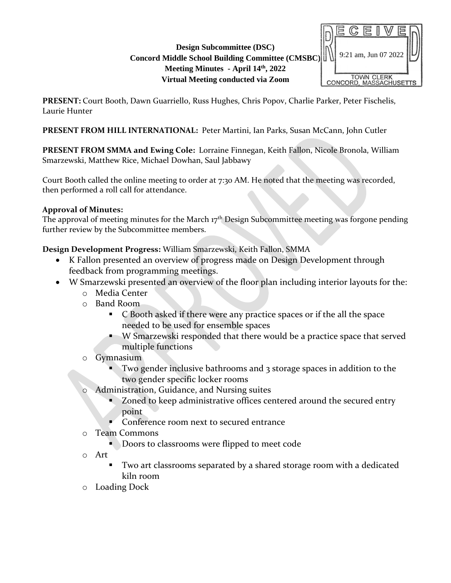## **Design Subcommittee (DSC) Concord Middle School Building Committee (CMSBC) Meeting Minutes - April 14th, 2022 Virtual Meeting conducted via Zoom**



**PRESENT:** Court Booth, Dawn Guarriello, Russ Hughes, Chris Popov, Charlie Parker, Peter Fischelis, Laurie Hunter

**PRESENT FROM HILL INTERNATIONAL:** Peter Martini, Ian Parks, Susan McCann, John Cutler

**PRESENT FROM SMMA and Ewing Cole:** Lorraine Finnegan, Keith Fallon, Nicole Bronola, William Smarzewski, Matthew Rice, Michael Dowhan, Saul Jabbawy

Court Booth called the online meeting to order at 7:30 AM. He noted that the meeting was recorded, then performed a roll call for attendance.

# **Approval of Minutes:**

The approval of meeting minutes for the March 17<sup>th</sup> Design Subcommittee meeting was forgone pending further review by the Subcommittee members.

**Design Development Progress:** William Smarzewski, Keith Fallon, SMMA

- K Fallon presented an overview of progress made on Design Development through feedback from programming meetings.
- W Smarzewski presented an overview of the floor plan including interior layouts for the:
	- o Media Center
	- o Band Room
		- C Booth asked if there were any practice spaces or if the all the space needed to be used for ensemble spaces
		- W Smarzewski responded that there would be a practice space that served multiple functions
	- o Gymnasium
		- Two gender inclusive bathrooms and 3 storage spaces in addition to the two gender specific locker rooms
	- Administration, Guidance, and Nursing suites
		- Zoned to keep administrative offices centered around the secured entry point
		- Conference room next to secured entrance
	- o Team Commons
		- **Doors to classrooms were flipped to meet code**
	- o Art
		- Two art classrooms separated by a shared storage room with a dedicated kiln room
	- o Loading Dock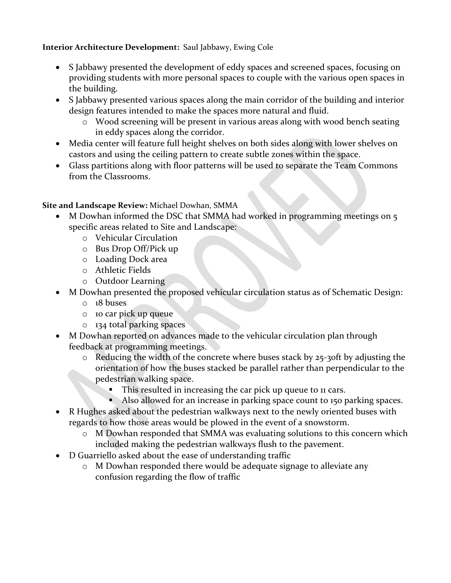#### **Interior Architecture Development:** Saul Jabbawy, Ewing Cole

- S Jabbawy presented the development of eddy spaces and screened spaces, focusing on providing students with more personal spaces to couple with the various open spaces in the building.
- S Jabbawy presented various spaces along the main corridor of the building and interior design features intended to make the spaces more natural and fluid.
	- o Wood screening will be present in various areas along with wood bench seating in eddy spaces along the corridor.
- Media center will feature full height shelves on both sides along with lower shelves on castors and using the ceiling pattern to create subtle zones within the space.
- Glass partitions along with floor patterns will be used to separate the Team Commons from the Classrooms.

## **Site and Landscape Review:** Michael Dowhan, SMMA

- M Dowhan informed the DSC that SMMA had worked in programming meetings on 5 specific areas related to Site and Landscape:
	- o Vehicular Circulation
	- o Bus Drop Off/Pick up
	- o Loading Dock area
	- o Athletic Fields
	- o Outdoor Learning
- M Dowhan presented the proposed vehicular circulation status as of Schematic Design:
	- o 18 buses
	- o 10 car pick up queue
	- o 134 total parking spaces
- M Dowhan reported on advances made to the vehicular circulation plan through feedback at programming meetings.
	- o Reducing the width of the concrete where buses stack by 25-30ft by adjusting the orientation of how the buses stacked be parallel rather than perpendicular to the pedestrian walking space.
		- **•** This resulted in increasing the car pick up queue to 11 cars.
		- Also allowed for an increase in parking space count to 150 parking spaces.
- R Hughes asked about the pedestrian walkways next to the newly oriented buses with regards to how those areas would be plowed in the event of a snowstorm.
	- o M Dowhan responded that SMMA was evaluating solutions to this concern which included making the pedestrian walkways flush to the pavement.
- D Guarriello asked about the ease of understanding traffic
	- o M Dowhan responded there would be adequate signage to alleviate any confusion regarding the flow of traffic